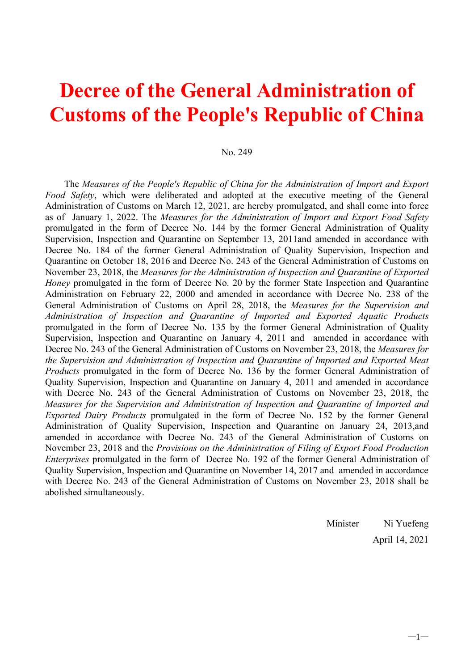# **Decree of the General Administration of Customs of the People's Republic of China**

#### No. 249

The *Measures of the People's Republic of China for the Administration of Import and Export Food Safety*, which were deliberated and adopted at the executive meeting of the General Administration of Customs on March 12, 2021, are hereby promulgated, and shall come into force as of January 1, 2022. The *Measures for the Administration of Import and Export Food Safety* promulgated in the form of Decree No. 144 by the former General Administration of Quality Supervision, Inspection and Quarantine on September 13, 2011and amended in accordance with Decree No. 184 of the former General Administration of Quality Supervision, Inspection and Quarantine on October 18, 2016 and Decree No. 243 of the General Administration of Customs on November 23, 2018, the *Measures for the Administration of Inspection and Quarantine of Exported Honey* promulgated in the form of Decree No. 20 by the former State Inspection and Quarantine Administration on February 22, 2000 and amended in accordance with Decree No. 238 of the General Administration of Customs on April 28, 2018, the *Measures for the Supervision and Administration of Inspection and Quarantine of Imported and Exported Aquatic Products* promulgated in the form of Decree No. 135 by the former General Administration of Quality Supervision, Inspection and Quarantine on January 4, 2011 and amended in accordance with Decree No. 243 of the General Administration of Customs on November 23, 2018, the *Measures for the Supervision and Administration of Inspection and Quarantine of Imported and Exported Meat Products* promulgated in the form of Decree No. 136 by the former General Administration of Quality Supervision, Inspection and Quarantine on January 4, 2011 and amended in accordance with Decree No. 243 of the General Administration of Customs on November 23, 2018, the *Measures for the Supervision and Administration of Inspection and Quarantine of Imported and Exported Dairy Products* promulgated in the form of Decree No. 152 by the former General Administration of Quality Supervision, Inspection and Quarantine on January 24, 2013,and amended in accordance with Decree No. 243 of the General Administration of Customs on November 23, 2018 and the *Provisions on the Administration of Filing of Export Food Production Enterprises* promulgated in the form of Decree No. 192 of the former General Administration of Quality Supervision, Inspection and Quarantine on November 14, 2017 and amended in accordance with Decree No. 243 of the General Administration of Customs on November 23, 2018 shall be abolished simultaneously.

> Minister Ni Yuefeng April 14, 2021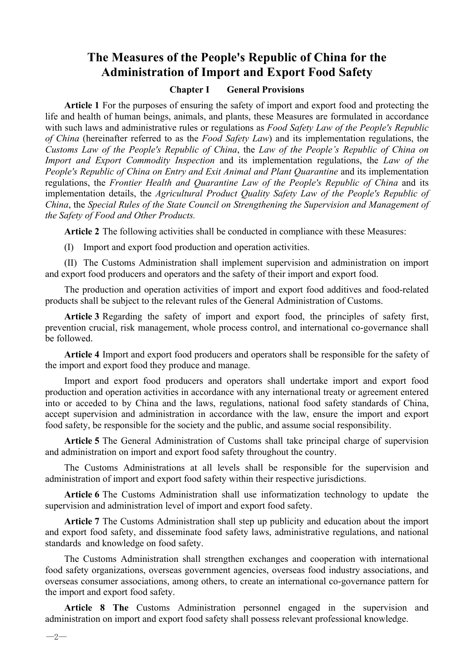## **The Measures of the People's Republic of China for the Administration of Import and Export Food Safety**

#### **Chapter I General Provisions**

**Article 1** For the purposes of ensuring the safety of import and export food and protecting the life and health of human beings, animals, and plants, these Measures are formulated in accordance with such laws and administrative rules or regulations as *Food Safety Law of the People's Republic of China* (hereinafter referred to as the *Food Safety Law*) and its implementation regulations, the *Customs Law of the People's Republic of China*, the *Law ofthe People's Republic of China on Import* and *Export Commodity Inspection* and its implementation regulations, the *Law of the People's Republic of China on Entry and Exit Animal and Plant Quarantine* and its implementation regulations, the *Frontier Health and Quarantine Law of the People's Republic of China* and its implementation details, the *Agricultural Product Quality Safety Law of the People's Republic of China*, the *Special Rules of the State Council on Strengthening the Supervision and Management of the Safety of Food and Other Products.*

**Article 2** The following activities shall be conducted in compliance with these Measures:

(I) Import and export food production and operation activities.

(II) The Customs Administration shall implement supervision and administration on import and export food producers and operators and the safety of their import and export food.

The production and operation activities of import and export food additives and food-related products shall be subject to the relevant rules of the General Administration of Customs.

**Article 3** Regarding the safety of import and export food, the principles of safety first, prevention crucial, risk management, whole process control, and international co-governance shall be followed.

**Article 4** Import and export food producers and operators shall be responsible for the safety of the import and export food they produce and manage.

Import and export food producers and operators shall undertake import and export food production and operation activities in accordance with any international treaty or agreement entered into or acceded to by China and the laws, regulations, national food safety standards of China, accept supervision and administration in accordance with the law, ensure the import and export food safety, be responsible for the society and the public, and assume social responsibility.

**Article 5** The General Administration of Customs shall take principal charge of supervision and administration on import and export food safety throughout the country.

The Customs Administrations at all levels shall be responsible for the supervision and administration of import and export food safety within their respective jurisdictions.

**Article 6** The Customs Administration shall use informatization technology to update the supervision and administration level of import and export food safety.

**Article 7** The Customs Administration shall step up publicity and education about the import and export food safety, and disseminate food safety laws, administrative regulations, and national standards and knowledge on food safety.

The Customs Administration shall strengthen exchanges and cooperation with international food safety organizations, overseas government agencies, overseas food industry associations, and overseas consumer associations, among others, to create an international co-governance pattern for the import and export food safety.

**Article 8 The** Customs Administration personnel engaged in the supervision and administration on import and export food safety shall possess relevant professional knowledge.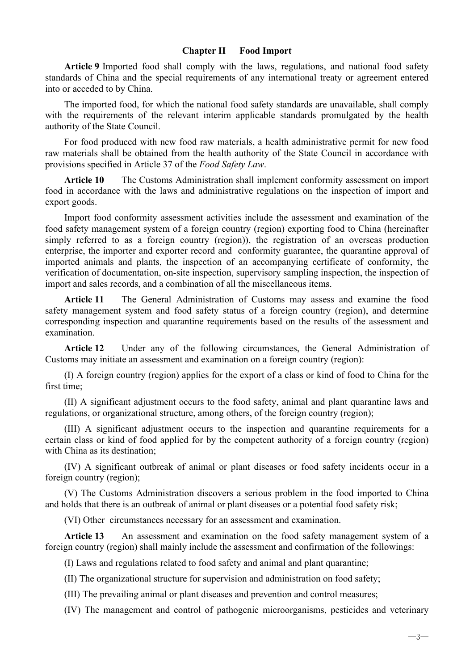#### **Chapter II Food Import**

**Article 9** Imported food shall comply with the laws, regulations, and national food safety standards of China and the special requirements of any international treaty or agreement entered into or acceded to by China.

The imported food, for which the national food safety standards are unavailable, shall comply with the requirements of the relevant interim applicable standards promulgated by the health authority of the State Council.

For food produced with new food raw materials, a health administrative permit for new food raw materials shall be obtained from the health authority of the State Council in accordance with provisions specified in Article 37 of the *Food Safety Law*.

**Article 10** The Customs Administration shall implement conformity assessment on import food in accordance with the laws and administrative regulations on the inspection of import and export goods.

Import food conformity assessment activities include the assessment and examination of the food safety management system of a foreign country (region) exporting food to China (hereinafter simply referred to as a foreign country (region)), the registration of an overseas production enterprise, the importer and exporter record and conformity guarantee, the quarantine approval of imported animals and plants, the inspection of an accompanying certificate of conformity, the verification of documentation, on-site inspection, supervisory sampling inspection, the inspection of import and sales records, and a combination of all the miscellaneous items.

**Article 11** The General Administration of Customs may assess and examine the food safety management system and food safety status of a foreign country (region), and determine corresponding inspection and quarantine requirements based on the results of the assessment and examination.

**Article 12** Under any of the following circumstances, the General Administration of Customs may initiate an assessment and examination on a foreign country (region):

(I) A foreign country (region) applies for the export of a class or kind of food to China for the first time;

(II) A significant adjustment occurs to the food safety, animal and plant quarantine laws and regulations, or organizational structure, among others, of the foreign country (region);

(III) A significant adjustment occurs to the inspection and quarantine requirements for a certain class or kind of food applied for by the competent authority of a foreign country (region) with China as its destination;

(IV) A significant outbreak of animal or plant diseases or food safety incidents occur in a foreign country (region);

(V) The Customs Administration discovers a serious problem in the food imported to China and holds that there is an outbreak of animal or plant diseases or a potential food safety risk;

(VI) Other circumstances necessary for an assessment and examination.

**Article 13** An assessment and examination on the food safety management system of a foreign country (region) shall mainly include the assessment and confirmation of the followings:

(I) Laws and regulations related to food safety and animal and plant quarantine;

(II) The organizational structure for supervision and administration on food safety;

(III) The prevailing animal or plant diseases and prevention and control measures;

(IV) The management and control of pathogenic microorganisms, pesticides and veterinary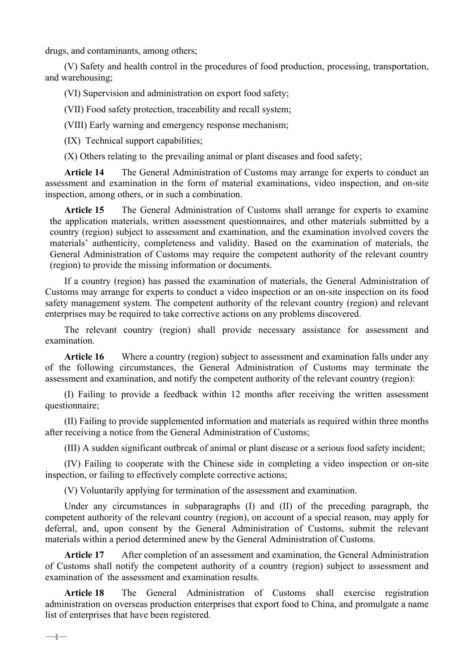drugs, and contaminants, among others;

(V) Safety and health control in the procedures of food production, processing, transportation, and warehousing;

(VI) Supervision and administration on export food safety;

(VII) Food safety protection, traceability and recall system;

(VIII) Early warning and emergency response mechanism;

(IX) Technical support capabilities;

(X) Others relating to the prevailing animal or plant diseases and food safety;

**Article 14** The General Administration of Customs may arrange for experts to conduct an assessment and examination in the form of material examinations, video inspection, and on-site inspection, among others, or in such a combination.

**Article 15** The General Administration of Customs shall arrange for experts to examine the application materials, written assessment questionnaires, and other materials submitted by a country (region) subject to assessment and examination, and the examination involved covers the materials' authenticity, completeness and validity. Based on the examination of materials, the General Administration of Customs may require the competent authority of the relevant country (region) to provide the missing information or documents.

If a country (region) has passed the examination of materials, the General Administration of Customs may arrange for experts to conduct a video inspection or an on-site inspection on its food safety management system. The competent authority of the relevant country (region) and relevant enterprises may be required to take corrective actions on any problems discovered.

The relevant country (region) shall provide necessary assistance for assessment and examination.

**Article 16** Where a country (region) subject to assessment and examination falls under any of the following circumstances, the General Administration of Customs may terminate the assessment and examination, and notify the competent authority of the relevant country (region):

(I) Failing to provide a feedback within 12 months after receiving the written assessment questionnaire;

(II) Failing to provide supplemented information and materials as required within three months after receiving a notice from the General Administration of Customs;

(III) A sudden significant outbreak of animal or plant disease or a serious food safety incident;

(IV) Failing to cooperate with the Chinese side in completing a video inspection or on-site inspection, or failing to effectively complete corrective actions;

(V) Voluntarily applying for termination of the assessment and examination.

Under any circumstances in subparagraphs (I) and (II) of the preceding paragraph, the competent authority of the relevant country (region), on account of a special reason, may apply for deferral, and, upon consent by the General Administration of Customs, submit the relevant materials within a period determined anew by the General Administration of Customs.

**Article 17** After completion of an assessment and examination, the General Administration of Customs shall notify the competent authority of a country (region) subject to assessment and examination of the assessment and examination results.

**Article 18** The General Administration of Customs shall exercise registration administration on overseas production enterprises that export food to China, and promulgate a name list of enterprises that have been registered.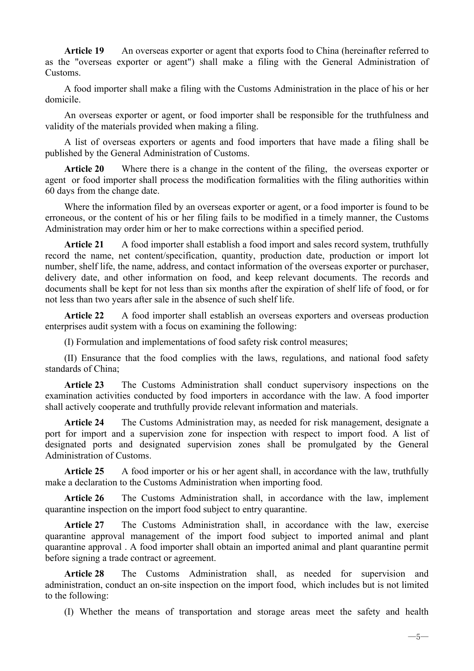**Article 19** An overseas exporter or agent that exports food to China (hereinafter referred to as the "overseas exporter or agent") shall make a filing with the General Administration of Customs.

A food importer shall make a filing with the Customs Administration in the place of his or her domicile.

An overseas exporter or agent, or food importer shall be responsible for the truthfulness and validity of the materials provided when making a filing.

A list of overseas exporters or agents and food importers that have made a filing shall be published by the General Administration of Customs.

**Article 20** Where there is a change in the content of the filing, the overseas exporter or agent or food importer shall process the modification formalities with the filing authorities within 60 days from the change date.

Where the information filed by an overseas exporter or agent, or a food importer is found to be erroneous, or the content of his or her filing fails to be modified in a timely manner, the Customs Administration may order him or her to make corrections within a specified period.

**Article 21** A food importer shall establish a food import and sales record system, truthfully record the name, net content/specification, quantity, production date, production or import lot number, shelf life, the name, address, and contact information of the overseas exporter or purchaser, delivery date, and other information on food, and keep relevant documents. The records and documents shall be kept for not less than six months after the expiration of shelf life of food, or for not less than two years after sale in the absence of such shelf life.

**Article 22** A food importer shall establish an overseas exporters and overseas production enterprises audit system with a focus on examining the following:

(I) Formulation and implementations of food safety risk control measures;

(II) Ensurance that the food complies with the laws, regulations, and national food safety standards of China;

**Article 23** The Customs Administration shall conduct supervisory inspections on the examination activities conducted by food importers in accordance with the law. A food importer shall actively cooperate and truthfully provide relevant information and materials.

**Article 24** The Customs Administration may, as needed for risk management, designate a port for import and a supervision zone for inspection with respect to import food. A list of designated ports and designated supervision zones shall be promulgated by the General Administration of Customs.

**Article 25** A food importer or his or her agent shall, in accordance with the law, truthfully make a declaration to the Customs Administration when importing food.

**Article 26** The Customs Administration shall, in accordance with the law, implement quarantine inspection on the import food subject to entry quarantine.

**Article 27** The Customs Administration shall, in accordance with the law, exercise quarantine approval management of the import food subject to imported animal and plant quarantine approval . A food importer shall obtain an imported animal and plant quarantine permit before signing a trade contract or agreement.

**Article 28** The Customs Administration shall, as needed for supervision and administration, conduct an on-site inspection on the import food, which includes but is not limited to the following:

(I) Whether the means of transportation and storage areas meet the safety and health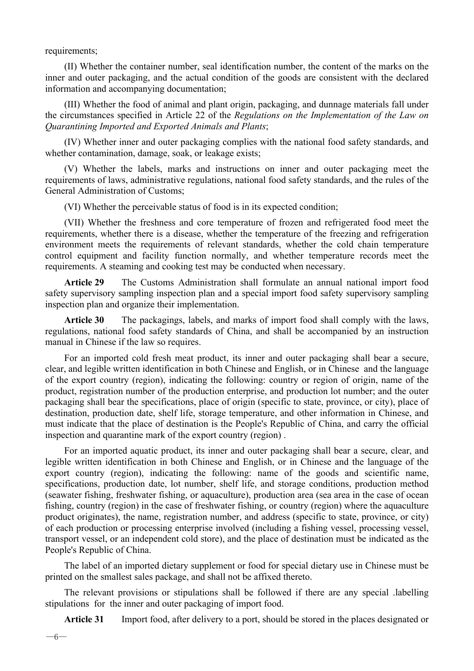requirements;

(II) Whether the container number, seal identification number, the content of the marks on the inner and outer packaging, and the actual condition of the goods are consistent with the declared information and accompanying documentation;

(III) Whether the food of animal and plant origin, packaging, and dunnage materials fall under the circumstances specified in Article 22 of the *Regulations on the Implementation of the Law on Quarantining Imported and Exported Animals and Plants*;

(IV) Whether inner and outer packaging complies with the national food safety standards, and whether contamination, damage, soak, or leakage exists;

(V) Whether the labels, marks and instructions on inner and outer packaging meet the requirements of laws, administrative regulations, national food safety standards, and the rules of the General Administration of Customs;

(VI) Whether the perceivable status of food is in its expected condition;

(VII) Whether the freshness and core temperature of frozen and refrigerated food meet the requirements, whether there is a disease, whether the temperature of the freezing and refrigeration environment meets the requirements of relevant standards, whether the cold chain temperature control equipment and facility function normally, and whether temperature records meet the requirements. A steaming and cooking test may be conducted when necessary.

**Article 29** The Customs Administration shall formulate an annual national import food safety supervisory sampling inspection plan and a special import food safety supervisory sampling inspection plan and organize their implementation.

**Article 30** The packagings, labels, and marks of import food shall comply with the laws, regulations, national food safety standards of China, and shall be accompanied by an instruction manual in Chinese if the law so requires.

For an imported cold fresh meat product, its inner and outer packaging shall bear a secure, clear, and legible written identification in both Chinese and English, or in Chinese and the language of the export country (region), indicating the following: country or region of origin, name of the product, registration number of the production enterprise, and production lot number; and the outer packaging shall bear the specifications, place of origin (specific to state, province, or city), place of destination, production date, shelf life, storage temperature, and other information in Chinese, and must indicate that the place of destination is the People's Republic of China, and carry the official inspection and quarantine mark of the export country (region) .

For an imported aquatic product, its inner and outer packaging shall bear a secure, clear, and legible written identification in both Chinese and English, or in Chinese and the language of the export country (region), indicating the following: name of the goods and scientific name, specifications, production date, lot number, shelf life, and storage conditions, production method (seawater fishing, freshwater fishing, or aquaculture), production area (sea area in the case of ocean fishing, country (region) in the case of freshwater fishing, or country (region) where the aquaculture product originates), the name, registration number, and address (specific to state, province, or city) of each production or processing enterprise involved (including a fishing vessel, processing vessel, transport vessel, or an independent cold store), and the place of destination must be indicated as the People's Republic of China.

The label of an imported dietary supplement or food for special dietary use in Chinese must be printed on the smallest sales package, and shall not be affixed thereto.

The relevant provisions or stipulations shall be followed if there are any special .labelling stipulations for the inner and outer packaging of import food.

**Article 31** Import food, after delivery to a port, should be stored in the places designated or

 $-6-$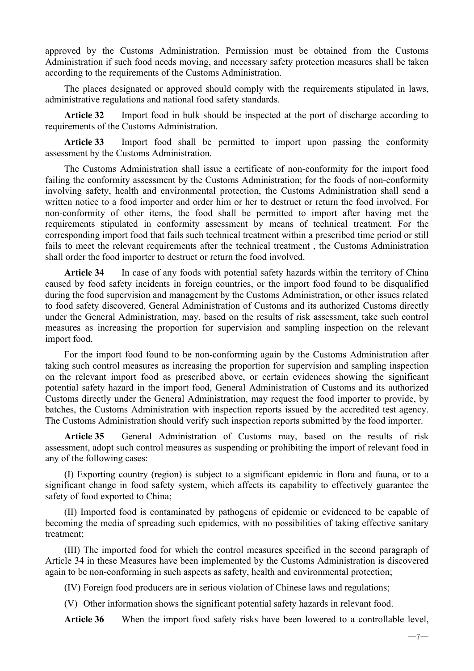approved by the Customs Administration. Permission must be obtained from the Customs Administration if such food needs moving, and necessary safety protection measures shall be taken according to the requirements of the Customs Administration.

The places designated or approved should comply with the requirements stipulated in laws, administrative regulations and national food safety standards.

**Article 32** Import food in bulk should be inspected at the port of discharge according to requirements of the Customs Administration.

**Article 33** Import food shall be permitted to import upon passing the conformity assessment by the Customs Administration.

The Customs Administration shall issue a certificate of non-conformity for the import food failing the conformity assessment by the Customs Administration; for the foods of non-conformity involving safety, health and environmental protection, the Customs Administration shall send a written notice to a food importer and order him or her to destruct or return the food involved. For non-conformity of other items, the food shall be permitted to import after having met the requirements stipulated in conformity assessment by means of technical treatment. For the corresponding import food that fails such technical treatment within a prescribed time period or still fails to meet the relevant requirements after the technical treatment , the Customs Administration shall order the food importer to destruct or return the food involved.

**Article 34** In case of any foods with potential safety hazards within the territory of China caused by food safety incidents in foreign countries, or the import food found to be disqualified during the food supervision and management by the Customs Administration, or other issues related to food safety discovered, General Administration of Customs and its authorized Customs directly under the General Administration, may, based on the results of risk assessment, take such control measures as increasing the proportion for supervision and sampling inspection on the relevant import food.

For the import food found to be non-conforming again by the Customs Administration after taking such control measures as increasing the proportion for supervision and sampling inspection on the relevant import food as prescribed above, or certain evidences showing the significant potential safety hazard in the import food, General Administration of Customs and its authorized Customs directly under the General Administration, may request the food importer to provide, by batches, the Customs Administration with inspection reports issued by the accredited test agency. The Customs Administration should verify such inspection reports submitted by the food importer.

**Article 35** General Administration of Customs may, based on the results of risk assessment, adopt such control measures as suspending or prohibiting the import of relevant food in any of the following cases:

(I) Exporting country (region) is subject to a significant epidemic in flora and fauna, or to a significant change in food safety system, which affects its capability to effectively guarantee the safety of food exported to China;

(II) Imported food is contaminated by pathogens of epidemic or evidenced to be capable of becoming the media of spreading such epidemics, with no possibilities of taking effective sanitary treatment;

(III) The imported food for which the control measures specified in the second paragraph of Article 34 in these Measures have been implemented by the Customs Administration is discovered again to be non-conforming in such aspects as safety, health and environmental protection;

(IV) Foreign food producers are in serious violation of Chinese laws and regulations;

(V) Other information shows the significant potential safety hazards in relevant food.

**Article 36** When the import food safety risks have been lowered to a controllable level,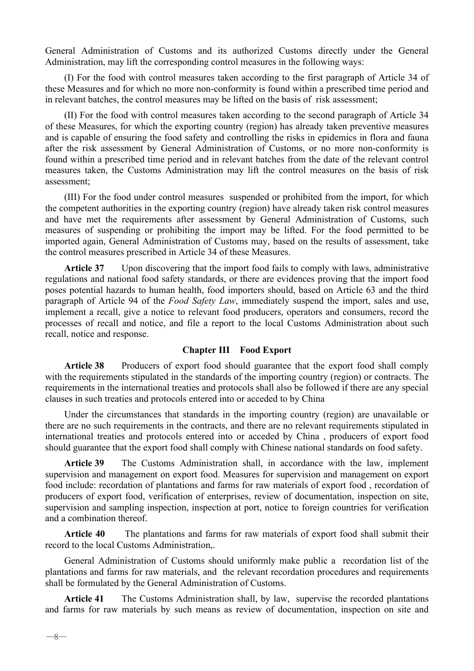General Administration of Customs and its authorized Customs directly under the General Administration, may lift the corresponding control measures in the following ways:

(I) For the food with control measures taken according to the first paragraph of Article 34 of these Measures and for which no more non-conformity is found within a prescribed time period and in relevant batches, the control measures may be lifted on the basis of risk assessment;

(II) For the food with control measures taken according to the second paragraph of Article 34 of these Measures, for which the exporting country (region) has already taken preventive measures and is capable of ensuring the food safety and controlling the risks in epidemics in flora and fauna after the risk assessment by General Administration of Customs, or no more non-conformity is found within a prescribed time period and in relevant batches from the date of the relevant control measures taken, the Customs Administration may lift the control measures on the basis of risk assessment;

(III) For the food under control measures suspended or prohibited from the import, for which the competent authorities in the exporting country (region) have already taken risk control measures and have met the requirements after assessment by General Administration of Customs, such measures of suspending or prohibiting the import may be lifted. For the food permitted to be imported again, General Administration of Customs may, based on the results of assessment, take the control measures prescribed in Article 34 of these Measures.

**Article 37** Upon discovering that the import food fails to comply with laws, administrative regulations and national food safety standards, or there are evidences proving that the import food poses potential hazards to human health, food importers should, based on Article 63 and the third paragraph of Article 94 of the *Food Safety Law*, immediately suspend the import, sales and use, implement a recall, give a notice to relevant food producers, operators and consumers, record the processes of recall and notice, and file a report to the local Customs Administration about such recall, notice and response.

#### **Chapter III Food Export**

**Article 38** Producers of export food should guarantee that the export food shall comply with the requirements stipulated in the standards of the importing country (region) or contracts. The requirements in the international treaties and protocols shall also be followed if there are any special clauses in such treaties and protocols entered into or acceded to by China

Under the circumstances that standards in the importing country (region) are unavailable or there are no such requirements in the contracts, and there are no relevant requirements stipulated in international treaties and protocols entered into or acceded by China , producers of export food should guarantee that the export food shall comply with Chinese national standards on food safety.

**Article 39** The Customs Administration shall, in accordance with the law, implement supervision and management on export food. Measures for supervision and management on export food include: recordation of plantations and farms for raw materials of export food , recordation of producers of export food, verification of enterprises, review of documentation, inspection on site, supervision and sampling inspection, inspection at port, notice to foreign countries for verification and a combination thereof.

**Article 40** The plantations and farms for raw materials of export food shall submit their record to the local Customs Administration,.

General Administration of Customs should uniformly make public a recordation list of the plantations and farms for raw materials, and the relevant recordation procedures and requirements shall be formulated by the General Administration of Customs.

**Article 41** The Customs Administration shall, by law, supervise the recorded plantations and farms for raw materials by such means as review of documentation, inspection on site and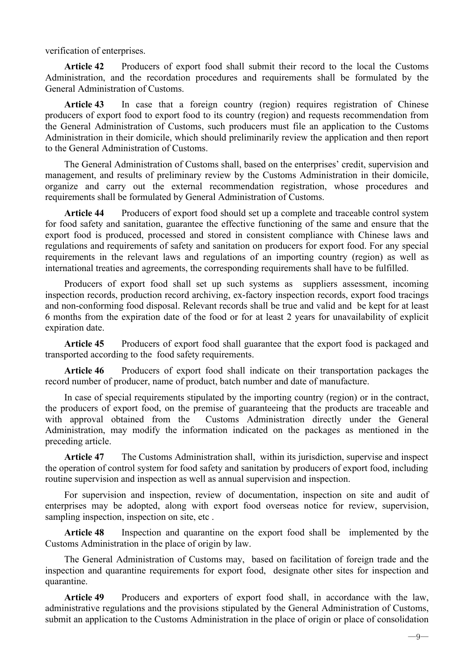verification of enterprises.

**Article 42** Producers of export food shall submit their record to the local the Customs Administration, and the recordation procedures and requirements shall be formulated by the General Administration of Customs.

**Article 43** In case that a foreign country (region) requires registration of Chinese producers of export food to export food to its country (region) and requests recommendation from the General Administration of Customs, such producers must file an application to the Customs Administration in their domicile, which should preliminarily review the application and then report to the General Administration of Customs.

The General Administration of Customs shall, based on the enterprises' credit, supervision and management, and results of preliminary review by the Customs Administration in their domicile, organize and carry out the external recommendation registration, whose procedures and requirements shall be formulated by General Administration of Customs.

**Article 44** Producers of export food should set up a complete and traceable control system for food safety and sanitation, guarantee the effective functioning of the same and ensure that the export food is produced, processed and stored in consistent compliance with Chinese laws and regulations and requirements of safety and sanitation on producers for export food. For any special requirements in the relevant laws and regulations of an importing country (region) as well as international treaties and agreements, the corresponding requirements shall have to be fulfilled.

Producers of export food shall set up such systems as suppliers assessment, incoming inspection records, production record archiving, ex-factory inspection records, export food tracings and non-conforming food disposal. Relevant records shall be true and valid and be kept for at least 6 months from the expiration date of the food or for at least 2 years for unavailability of explicit expiration date.

**Article 45** Producers of export food shall guarantee that the export food is packaged and transported according to the food safety requirements.

**Article 46** Producers of export food shall indicate on their transportation packages the record number of producer, name of product, batch number and date of manufacture.

In case of special requirements stipulated by the importing country (region) or in the contract, the producers of export food, on the premise of guaranteeing that the products are traceable and with approval obtained from the Customs Administration directly under the General Administration, may modify the information indicated on the packages as mentioned in the preceding article.

**Article 47** The Customs Administration shall, within its jurisdiction, supervise and inspect the operation of control system for food safety and sanitation by producers of export food, including routine supervision and inspection as well as annual supervision and inspection.

For supervision and inspection, review of documentation, inspection on site and audit of enterprises may be adopted, along with export food overseas notice for review, supervision, sampling inspection, inspection on site, etc .

**Article 48** Inspection and quarantine on the export food shall be implemented by the Customs Administration in the place of origin by law.

The General Administration of Customs may, based on facilitation of foreign trade and the inspection and quarantine requirements for export food, designate other sites for inspection and quarantine.

**Article 49** Producers and exporters of export food shall, in accordance with the law, administrative regulations and the provisions stipulated by the General Administration of Customs, submit an application to the Customs Administration in the place of origin or place of consolidation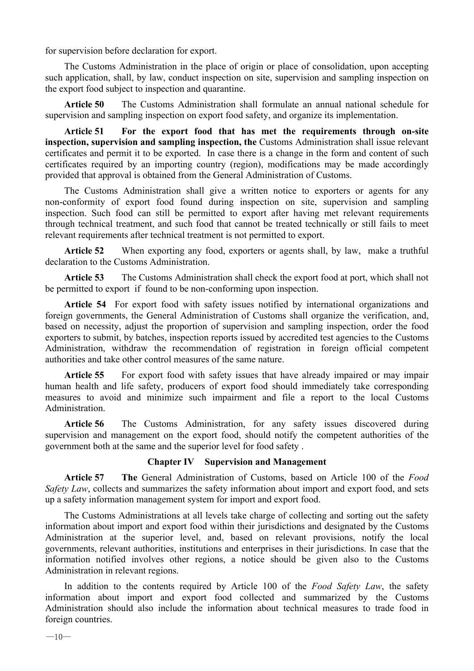for supervision before declaration for export.

The Customs Administration in the place of origin or place of consolidation, upon accepting such application, shall, by law, conduct inspection on site, supervision and sampling inspection on the export food subject to inspection and quarantine.

**Article 50** The Customs Administration shall formulate an annual national schedule for supervision and sampling inspection on export food safety, and organize its implementation.

**Article 51 For the export food that has met the requirements through on-site inspection, supervision and sampling inspection, the** Customs Administration shall issue relevant certificates and permit it to be exported. In case there is a change in the form and content of such certificates required by an importing country (region), modifications may be made accordingly provided that approval is obtained from the General Administration of Customs.

The Customs Administration shall give a written notice to exporters or agents for any non-conformity of export food found during inspection on site, supervision and sampling inspection. Such food can still be permitted to export after having met relevant requirements through technical treatment, and such food that cannot be treated technically or still fails to meet relevant requirements after technical treatment is not permitted to export.

**Article 52** When exporting any food, exporters or agents shall, by law, make a truthful declaration to the Customs Administration.

**Article 53** The Customs Administration shall check the export food at port, which shall not be permitted to export if found to be non-conforming upon inspection.

**Article 54** For export food with safety issues notified by international organizations and foreign governments, the General Administration of Customs shall organize the verification, and, based on necessity, adjust the proportion of supervision and sampling inspection, order the food exporters to submit, by batches, inspection reports issued by accredited test agencies to the Customs Administration, withdraw the recommendation of registration in foreign official competent authorities and take other control measures of the same nature.

**Article 55** For export food with safety issues that have already impaired or may impair human health and life safety, producers of export food should immediately take corresponding measures to avoid and minimize such impairment and file a report to the local Customs Administration.

**Article 56** The Customs Administration, for any safety issues discovered during supervision and management on the export food, should notify the competent authorities of the government both at the same and the superior level for food safety .

#### **Chapter IV Supervision and Management**

**Article 57 The** General Administration of Customs, based on Article 100 of the *Food Safety Law*, collects and summarizes the safety information about import and export food, and sets up a safety information management system forimport and export food.

The Customs Administrations at all levels take charge of collecting and sorting out the safety information about import and export food within their jurisdictions and designated by the Customs Administration at the superior level, and, based on relevant provisions, notify the local governments, relevant authorities, institutions and enterprises in their jurisdictions. In case that the information notified involves other regions, a notice should be given also to the Customs Administration in relevant regions.

In addition to the contents required by Article 100 of the *Food Safety Law*, the safety information about import and export food collected and summarized by the Customs Administration should also include the information about technical measures to trade food in foreign countries.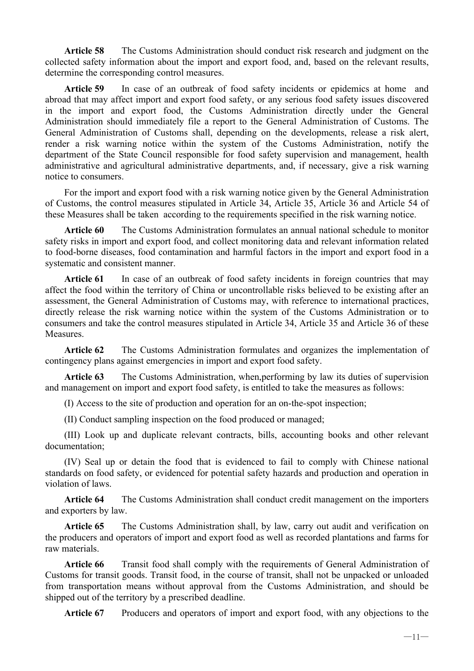**Article 58** The Customs Administration should conduct risk research and judgment on the collected safety information about the import and export food, and, based on the relevant results, determine the corresponding control measures.

**Article 59** In case of an outbreak of food safety incidents or epidemics at home and abroad that may affect import and export food safety, or any serious food safety issues discovered in the import and export food, the Customs Administration directly under the General Administration should immediately file a report to the General Administration of Customs. The General Administration of Customs shall, depending on the developments, release a risk alert, render a risk warning notice within the system of the Customs Administration, notify the department of the State Council responsible for food safety supervision and management, health administrative and agricultural administrative departments, and, if necessary, give a risk warning notice to consumers.

For the import and export food with a risk warning notice given by the General Administration of Customs, the control measures stipulated in Article 34, Article 35, Article 36 and Article 54 of these Measures shall be taken according to the requirements specified in the risk warning notice.

**Article 60** The Customs Administration formulates an annual national schedule to monitor safety risks in import and export food, and collect monitoring data and relevant information related to food-borne diseases, food contamination and harmful factors in the import and export food in a systematic and consistent manner.

**Article 61** In case of an outbreak of food safety incidents in foreign countries that may affect the food within the territory of China or uncontrollable risks believed to be existing after an assessment, the General Administration of Customs may, with reference to international practices, directly release the risk warning notice within the system of the Customs Administration or to consumers and take the control measures stipulated in Article 34, Article 35 and Article 36 of these **Measures** 

**Article 62** The Customs Administration formulates and organizes the implementation of contingency plans against emergencies in import and export food safety.

**Article 63** The Customs Administration, when,performing by law its duties of supervision and management on import and export food safety, is entitled to take the measures as follows:

(I) Access to the site of production and operation for an on-the-spot inspection;

(II) Conduct sampling inspection on the food produced or managed;

(III) Look up and duplicate relevant contracts, bills, accounting books and other relevant documentation;

(IV) Seal up or detain the food that is evidenced to fail to comply with Chinese national standards on food safety, or evidenced for potential safety hazards and production and operation in violation of laws.

**Article 64** The Customs Administration shall conduct credit management on the importers and exporters by law.

**Article 65** The Customs Administration shall, by law, carry out audit and verification on the producers and operators of import and export food as well as recorded plantations and farms for raw materials.

**Article 66** Transit food shall comply with the requirements of General Administration of Customs for transit goods. Transit food, in the course of transit, shall not be unpacked or unloaded from transportation means without approval from the Customs Administration, and should be shipped out of the territory by a prescribed deadline.

**Article 67** Producers and operators of import and export food, with any objections to the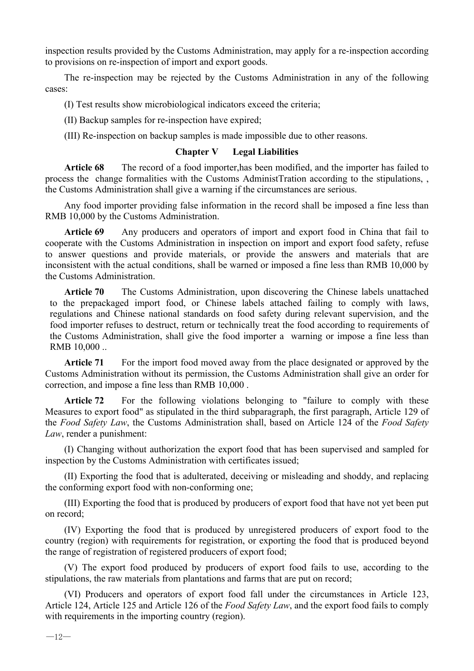inspection results provided by the Customs Administration, may apply for a re-inspection according to provisions on re-inspection of import and export goods.

The re-inspection may be rejected by the Customs Administration in any of the following cases:

(I) Test results show microbiological indicators exceed the criteria;

(II) Backup samples for re-inspection have expired;

(III) Re-inspection on backup samples is made impossible due to other reasons.

#### **Chapter V Legal Liabilities**

**Article 68** The record of a food importer,has been modified, and the importer has failed to process the change formalities with the Customs AdministTration according to the stipulations, , the Customs Administration shall give a warning if the circumstances are serious.

Any food importer providing false information in the record shall be imposed a fine less than RMB 10,000 by the Customs Administration.

**Article 69** Any producers and operators of import and export food in China that fail to cooperate with the Customs Administration in inspection on import and export food safety, refuse to answer questions and provide materials, or provide the answers and materials that are inconsistent with the actual conditions, shall be warned or imposed a fine less than RMB 10,000 by the Customs Administration.

**Article 70** The Customs Administration, upon discovering the Chinese labels unattached to the prepackaged import food, or Chinese labels attached failing to comply with laws, regulations and Chinese national standards on food safety during relevant supervision, and the food importer refuses to destruct, return or technically treat the food according to requirements of the Customs Administration, shall give the food importer a warning or impose a fine less than RMB 10,000 ..

**Article 71** For the import food moved away from the place designated or approved by the Customs Administration without its permission, the Customs Administration shall give an order for correction, and impose a fine less than RMB 10,000 .

**Article 72** For the following violations belonging to "failure to comply with these Measures to export food" as stipulated in the third subparagraph, the first paragraph, Article 129 of the *Food Safety Law*, the Customs Administration shall, based on Article 124 of the *Food Safety Law*, render a punishment:

(I) Changing without authorization the export food that has been supervised and sampled for inspection by the Customs Administration with certificates issued;

(II) Exporting the food that is adulterated, deceiving or misleading and shoddy, and replacing the conforming export food with non-conforming one;

(III) Exporting the food that is produced by producers of export food that have not yet been put on record;

(IV) Exporting the food that is produced by unregistered producers of export food to the country (region) with requirements for registration, or exporting the food that is produced beyond the range of registration of registered producers of export food;

(V) The export food produced by producers of export food fails to use, according to the stipulations, the raw materials from plantations and farms that are put on record;

(VI) Producers and operators of export food fall under the circumstances in Article 123, Article 124, Article 125 and Article 126 of the *Food Safety Law*, and the export food fails to comply with requirements in the importing country (region).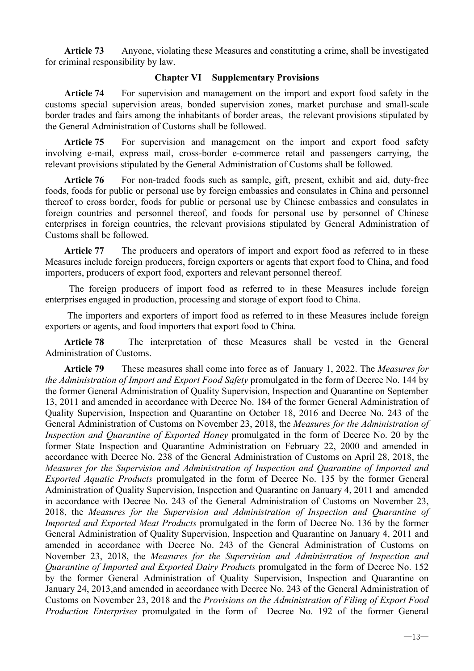**Article 73** Anyone, violating these Measures and constituting a crime, shall be investigated for criminal responsibility by law.

### **Chapter VI Supplementary Provisions**

**Article 74** For supervision and management on the import and export food safety in the customs special supervision areas, bonded supervision zones, market purchase and small-scale border trades and fairs among the inhabitants of border areas, the relevant provisions stipulated by the General Administration of Customs shall be followed.

**Article 75** For supervision and management on the import and export food safety involving e-mail, express mail, cross-border e-commerce retail and passengers carrying, the relevant provisions stipulated by the General Administration of Customs shall be followed.

**Article 76** For non-traded foods such as sample, gift, present, exhibit and aid, duty-free foods, foods for public or personal use by foreign embassies and consulates in China and personnel thereof to cross border, foods for public or personal use by Chinese embassies and consulates in foreign countries and personnel thereof, and foods for personal use by personnel of Chinese enterprises in foreign countries, the relevant provisions stipulated by General Administration of Customs shall be followed.

**Article 77** The producers and operators of import and export food as referred to in these Measures include foreign producers, foreign exporters or agents that export food to China, and food importers, producers of export food, exporters and relevant personnel thereof.

The foreign producers of import food as referred to in these Measures include foreign enterprises engaged in production, processing and storage of export food to China.

The importers and exporters of import food as referred to in these Measures include foreign exporters or agents, and food importers that export food to China.

**Article 78** The interpretation of these Measures shall be vested in the General Administration of Customs.

**Article 79** These measures shall come into force as of January 1, 2022. The *Measures for the Administration of Import and Export Food Safety* promulgated in the form of Decree No. 144 by the former General Administration of Quality Supervision, Inspection and Quarantine on September 13, 2011 and amended in accordance with Decree No. 184 of the former General Administration of Quality Supervision, Inspection and Quarantine on October 18, 2016 and Decree No. 243 of the General Administration of Customs on November 23, 2018, the *Measures for the Administration of Inspection and Quarantine of Exported Honey* promulgated in the form of Decree No. 20 by the former State Inspection and Quarantine Administration on February 22, 2000 and amended in accordance with Decree No. 238 of the General Administration of Customs on April 28, 2018, the *Measures for the Supervision and Administration of Inspection and Quarantine of Imported and Exported Aquatic Products* promulgated in the form of Decree No. 135 by the former General Administration of Quality Supervision, Inspection and Quarantine on January 4, 2011 and amended in accordance with Decree No. 243 of the General Administration of Customs on November 23, 2018, the *Measures for the Supervision and Administration of Inspection and Quarantine of Imported and Exported Meat Products* promulgated in the form of Decree No. 136 by the former General Administration of Quality Supervision, Inspection and Quarantine on January 4, 2011 and amended in accordance with Decree No. 243 of the General Administration of Customs on November 23, 2018, the *Measures for the Supervision and Administration of Inspection and Quarantine of Imported and Exported Dairy Products* promulgated in the form of Decree No. 152 by the former General Administration of Quality Supervision, Inspection and Quarantine on January 24, 2013,and amended in accordance with Decree No. 243 of the General Administration of Customs on November 23, 2018 and the *Provisions on the Administration of Filing of Export Food Production Enterprises* promulgated in the form of Decree No. 192 of the former General